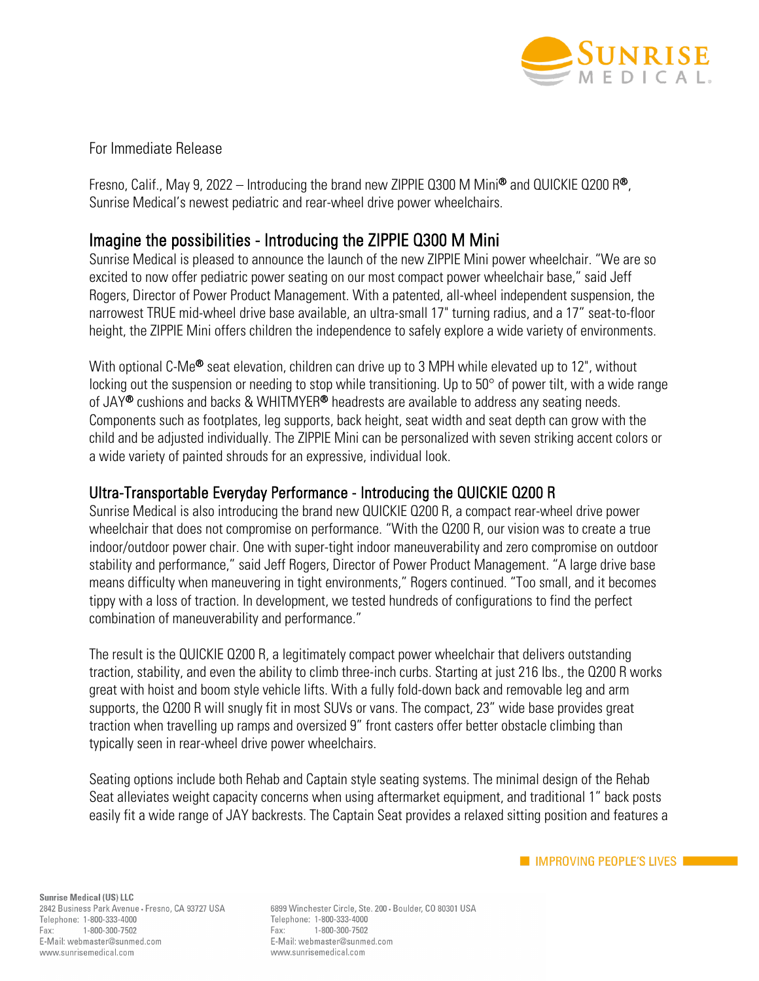

## For Immediate Release

Fresno, Calif., May 9, 2022 – Introducing the brand new ZIPPIE Q300 M Mini<sup>®</sup> and QUICKIE Q200 R<sup>®</sup>, Sunrise Medical's newest pediatric and rear-wheel drive power wheelchairs.

## Imagine the possibilities - Introducing the ZIPPIE Q300 M Mini

Sunrise Medical is pleased to announce the launch of the new ZIPPIE Mini power wheelchair. "We are so excited to now offer pediatric power seating on our most compact power wheelchair base," said Jeff Rogers, Director of Power Product Management. With a patented, all-wheel independent suspension, the narrowest TRUE mid-wheel drive base available, an ultra-small 17" turning radius, and a 17" seat-to-floor height, the ZIPPIE Mini offers children the independence to safely explore a wide variety of environments.

With optional C-Me<sup>®</sup> seat elevation, children can drive up to 3 MPH while elevated up to 12", without locking out the suspension or needing to stop while transitioning. Up to 50° of power tilt, with a wide range of JAY<sup>®</sup> cushions and backs & WHITMYER<sup>®</sup> headrests are available to address any seating needs. Components such as footplates, leg supports, back height, seat width and seat depth can grow with the child and be adjusted individually. The ZIPPIE Mini can be personalized with seven striking accent colors or a wide variety of painted shrouds for an expressive, individual look.

## Ultra-Transportable Everyday Performance - Introducing the QUICKIE Q200 R

Sunrise Medical is also introducing the brand new QUICKIE Q200 R, a compact rear-wheel drive power wheelchair that does not compromise on performance. "With the Q200 R, our vision was to create a true indoor/outdoor power chair. One with super-tight indoor maneuverability and zero compromise on outdoor stability and performance," said Jeff Rogers, Director of Power Product Management. "A large drive base means difficulty when maneuvering in tight environments," Rogers continued. "Too small, and it becomes tippy with a loss of traction. In development, we tested hundreds of configurations to find the perfect combination of maneuverability and performance."

The result is the QUICKIE Q200 R, a legitimately compact power wheelchair that delivers outstanding traction, stability, and even the ability to climb three-inch curbs. Starting at just 216 lbs., the Q200 R works great with hoist and boom style vehicle lifts. With a fully fold-down back and removable leg and arm supports, the Q200 R will snugly fit in most SUVs or vans. The compact, 23" wide base provides great traction when travelling up ramps and oversized 9" front casters offer better obstacle climbing than typically seen in rear-wheel drive power wheelchairs.

Seating options include both Rehab and Captain style seating systems. The minimal design of the Rehab Seat alleviates weight capacity concerns when using aftermarket equipment, and traditional 1" back posts easily fit a wide range of JAY backrests. The Captain Seat provides a relaxed sitting position and features a

6899 Winchester Circle, Ste. 200 · Boulder, CO 80301 USA Telephone: 1-800-333-4000 1-800-300-7502 Fax: E-Mail: webmaster@sunmed.com www.sunrisemedical.com